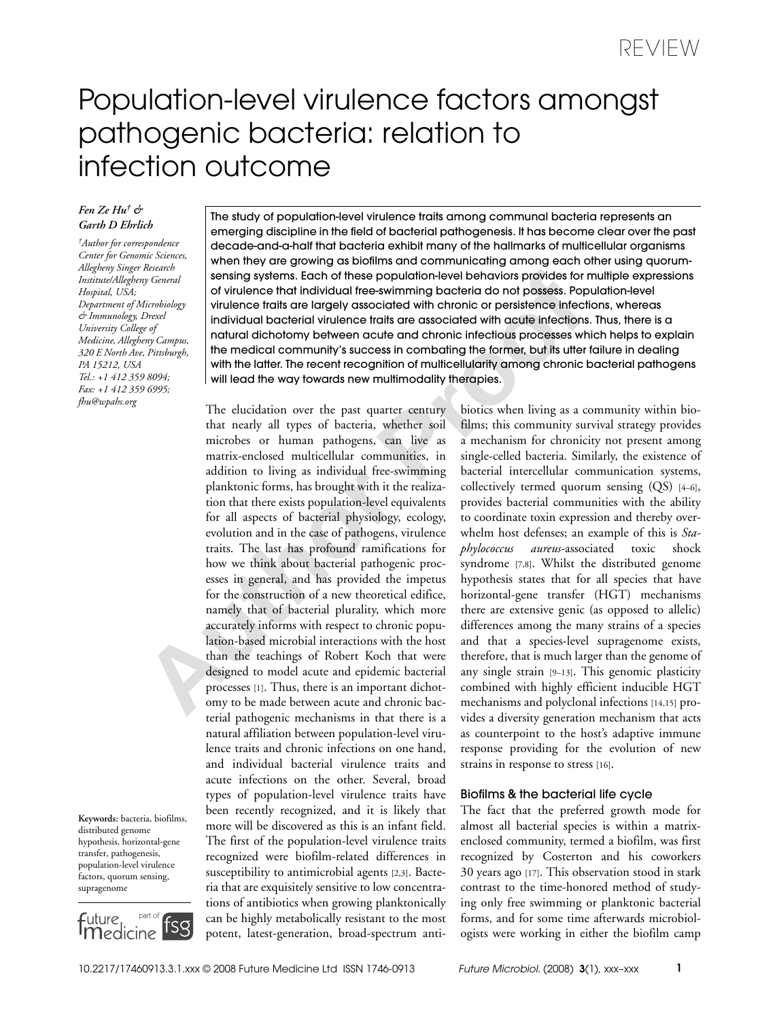# Population-level virulence factors amongst pathogenic bacteria: relation to infection outcome

## *Fen Ze Hu† & Garth D Ehrlich*

*†Author for correspondence Center for Genomic Sciences, Allegheny Singer Research Institute/Allegheny General Hospital, USA; Department of Microbiology & Immunology, Drexel University College of Medicine, Allegheny Campus, 320 E North Ave, Pittsburgh, PA 15212, USA Tel.: +1 412 359 8094; Fax: +1 412 359 6995; fhu@wpahs.org*

**Keywords:** bacteria, biofilms, distributed genome hypothesis, horizontal-gene transfer, pathogenesis, population-level virulence factors, quorum sensing, supragenome



The study of population-level virulence traits among communal bacteria represents an emerging discipline in the field of bacterial pathogenesis. It has become clear over the past decade-and-a-half that bacteria exhibit many of the hallmarks of multicellular organisms when they are growing as biofilms and communicating among each other using quorumsensing systems. Each of these population-level behaviors provides for multiple expressions of virulence that individual free-swimming bacteria do not possess. Population-level virulence traits are largely associated with chronic or persistence infections, whereas individual bacterial virulence traits are associated with acute infections. Thus, there is a natural dichotomy between acute and chronic infectious processes which helps to explain the medical community's success in combating the former, but its utter failure in dealing with the latter. The recent recognition of multicellularity among chronic bacterial pathogens will lead the way towards new multimodality therapies.

**Assumes Section and these population-level behaviors provides for multiple of virulence trails are largely associated with chronic or persistence infection of**  $P_{\text{C}}$  **and individual free-swimming bacteria do not posses** The elucidation over the past quarter century that nearly all types of bacteria, whether soil microbes or human pathogens, can live as matrix-enclosed multicellular communities, in addition to living as individual free-swimming planktonic forms, has brought with it the realization that there exists population-level equivalents for all aspects of bacterial physiology, ecology, evolution and in the case of pathogens, virulence traits. The last has profound ramifications for how we think about bacterial pathogenic processes in general, and has provided the impetus for the construction of a new theoretical edifice, namely that of bacterial plurality, which more accurately informs with respect to chronic population-based microbial interactions with the host than the teachings of Robert Koch that were designed to model acute and epidemic bacterial processes [1]. Thus, there is an important dichotomy to be made between acute and chronic bacterial pathogenic mechanisms in that there is a natural affiliation between population-level virulence traits and chronic infections on one hand, and individual bacterial virulence traits and acute infections on the other. Several, broad types of population-level virulence traits have been recently recognized, and it is likely that more will be discovered as this is an infant field. The first of the population-level virulence traits recognized were biofilm-related differences in susceptibility to antimicrobial agents [2,3]. Bacteria that are exquisitely sensitive to low concentrations of antibiotics when growing planktonically can be highly metabolically resistant to the most potent, latest-generation, broad-spectrum anti-

biotics when living as a community within biofilms; this community survival strategy provides a mechanism for chronicity not present among single-celled bacteria. Similarly, the existence of bacterial intercellular communication systems, collectively termed quorum sensing (QS) [4–6], provides bacterial communities with the ability to coordinate toxin expression and thereby overwhelm host defenses; an example of this is *Staphylococcus aureus-*associated toxic shock syndrome [7,8]. Whilst the distributed genome hypothesis states that for all species that have horizontal-gene transfer (HGT) mechanisms there are extensive genic (as opposed to allelic) differences among the many strains of a species and that a species-level supragenome exists, therefore, that is much larger than the genome of any single strain [9–13]. This genomic plasticity combined with highly efficient inducible HGT mechanisms and polyclonal infections [14,15] provides a diversity generation mechanism that acts as counterpoint to the host's adaptive immune response providing for the evolution of new strains in response to stress [16].

# Biofilms & the bacterial life cycle

The fact that the preferred growth mode for almost all bacterial species is within a matrixenclosed community, termed a biofilm, was first recognized by Costerton and his coworkers 30 years ago [17]. This observation stood in stark contrast to the time-honored method of studying only free swimming or planktonic bacterial forms, and for some time afterwards microbiologists were working in either the biofilm camp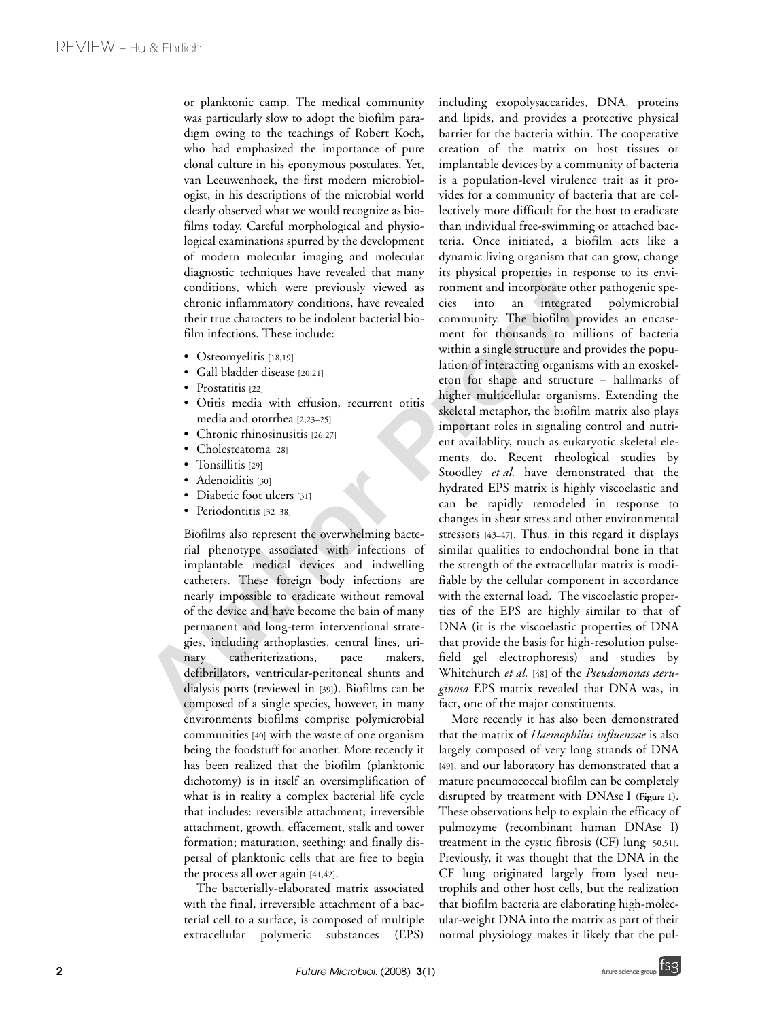or planktonic camp. The medical community was particularly slow to adopt the biofilm paradigm owing to the teachings of Robert Koch, who had emphasized the importance of pure clonal culture in his eponymous postulates. Yet, van Leeuwenhoek, the first modern microbiologist, in his descriptions of the microbial world clearly observed what we would recognize as biofilms today. Careful morphological and physiological examinations spurred by the development of modern molecular imaging and molecular diagnostic techniques have revealed that many conditions, which were previously viewed as chronic inflammatory conditions, have revealed their true characters to be indolent bacterial biofilm infections. These include:

- Osteomyelitis [18,19]
- Gall bladder disease [20,21]
- Prostatitis [22]
- Otitis media with effusion, recurrent otitis media and otorrhea [2,23–25]
- Chronic rhinosinusitis [26,27]
- Cholesteatoma [28]
- Tonsillitis [29]
- Adenoiditis [30]
- Diabetic foot ulcers [31]
- Periodontitis [32-38]

Biofilms also represent the overwhelming bacterial phenotype associated with infections of implantable medical devices and indwelling catheters. These foreign body infections are nearly impossible to eradicate without removal of the device and have become the bain of many permanent and long-term interventional strategies, including arthoplasties, central lines, urinary catheriterizations, pace makers, defibrillators, ventricular-peritoneal shunts and dialysis ports (reviewed in [39]). Biofilms can be composed of a single species, however, in many environments biofilms comprise polymicrobial communities [40] with the waste of one organism being the foodstuff for another. More recently it has been realized that the biofilm (planktonic dichotomy) is in itself an oversimplification of what is in reality a complex bacterial life cycle that includes: reversible attachment; irreversible attachment, growth, effacement, stalk and tower formation; maturation, seething; and finally dispersal of planktonic cells that are free to begin the process all over again [41,42].

The bacterially-elaborated matrix associated with the final, irreversible attachment of a bacterial cell to a surface, is composed of multiple extracellular polymeric substances (EPS)

diagnosis techniques have revealed that many its physical properties in response the diagnosis conditions, which were previously viewed as into an integrated their true characters to be indelent bacterial bio-<br> **Authin a** including exopolysaccarides, DNA, proteins and lipids, and provides a protective physical barrier for the bacteria within. The cooperative creation of the matrix on host tissues or implantable devices by a community of bacteria is a population-level virulence trait as it provides for a community of bacteria that are collectively more difficult for the host to eradicate than individual free-swimming or attached bacteria. Once initiated, a biofilm acts like a dynamic living organism that can grow, change its physical properties in response to its environment and incorporate other pathogenic species into an integrated polymicrobial community. The biofilm provides an encasement for thousands to millions of bacteria within a single structure and provides the population of interacting organisms with an exoskeleton for shape and structure – hallmarks of higher multicellular organisms. Extending the skeletal metaphor, the biofilm matrix also plays important roles in signaling control and nutrient availablity, much as eukaryotic skeletal elements do. Recent rheological studies by Stoodley *et al.* have demonstrated that the hydrated EPS matrix is highly viscoelastic and can be rapidly remodeled in response to changes in shear stress and other environmental stressors [43–47]. Thus, in this regard it displays similar qualities to endochondral bone in that the strength of the extracellular matrix is modifiable by the cellular component in accordance with the external load. The viscoelastic properties of the EPS are highly similar to that of DNA (it is the viscoelastic properties of DNA that provide the basis for high-resolution pulsefield gel electrophoresis) and studies by Whitchurch *et al.* [48] of the *Pseudomonas aeruginosa* EPS matrix revealed that DNA was, in fact, one of the major constituents.

More recently it has also been demonstrated that the matrix of *Haemophilus influenzae* is also largely composed of very long strands of DNA [49], and our laboratory has demonstrated that a mature pneumococcal biofilm can be completely disrupted by treatment with DNAse I **(Figure 1)**. These observations help to explain the efficacy of pulmozyme (recombinant human DNAse I) treatment in the cystic fibrosis (CF) lung [50,51]. Previously, it was thought that the DNA in the CF lung originated largely from lysed neutrophils and other host cells, but the realization that biofilm bacteria are elaborating high-molecular-weight DNA into the matrix as part of their normal physiology makes it likely that the pul-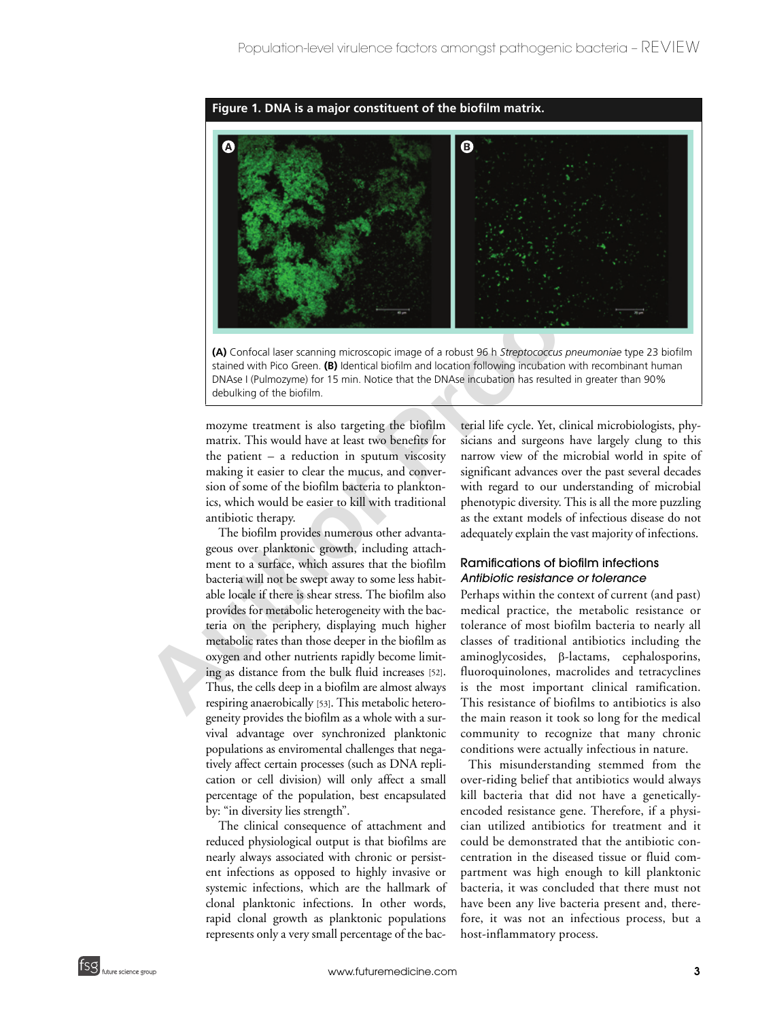



mozyme treatment is also targeting the biofilm matrix. This would have at least two benefits for the patient – a reduction in sputum viscosity making it easier to clear the mucus, and conversion of some of the biofilm bacteria to planktonics, which would be easier to kill with traditional antibiotic therapy.

**Automative Constrained Constrained Constrained Constrained Constrained Constrained CO Confocol Base constrained with Bico Green. (B) Identical biofilm and location following incubation with respect of the biofilm. The sub** The biofilm provides numerous other advantageous over planktonic growth, including attachment to a surface, which assures that the biofilm bacteria will not be swept away to some less habitable locale if there is shear stress. The biofilm also provides for metabolic heterogeneity with the bacteria on the periphery, displaying much higher metabolic rates than those deeper in the biofilm as oxygen and other nutrients rapidly become limiting as distance from the bulk fluid increases [52]. Thus, the cells deep in a biofilm are almost always respiring anaerobically [53]. This metabolic heterogeneity provides the biofilm as a whole with a survival advantage over synchronized planktonic populations as enviromental challenges that negatively affect certain processes (such as DNA replication or cell division) will only affect a small percentage of the population, best encapsulated by: "in diversity lies strength".

> The clinical consequence of attachment and reduced physiological output is that biofilms are nearly always associated with chronic or persistent infections as opposed to highly invasive or systemic infections, which are the hallmark of clonal planktonic infections. In other words, rapid clonal growth as planktonic populations represents only a very small percentage of the bac-

terial life cycle. Yet, clinical microbiologists, physicians and surgeons have largely clung to this narrow view of the microbial world in spite of significant advances over the past several decades with regard to our understanding of microbial phenotypic diversity. This is all the more puzzling as the extant models of infectious disease do not adequately explain the vast majority of infections.

# Ramifications of biofilm infections *Antibiotic resistance or tolerance*

Perhaps within the context of current (and past) medical practice, the metabolic resistance or tolerance of most biofilm bacteria to nearly all classes of traditional antibiotics including the aminoglycosides, β-lactams, cephalosporins, fluoroquinolones, macrolides and tetracyclines is the most important clinical ramification. This resistance of biofilms to antibiotics is also the main reason it took so long for the medical community to recognize that many chronic conditions were actually infectious in nature.

 This misunderstanding stemmed from the over-riding belief that antibiotics would always kill bacteria that did not have a geneticallyencoded resistance gene. Therefore, if a physician utilized antibiotics for treatment and it could be demonstrated that the antibiotic concentration in the diseased tissue or fluid compartment was high enough to kill planktonic bacteria, it was concluded that there must not have been any live bacteria present and, therefore, it was not an infectious process, but a host-inflammatory process.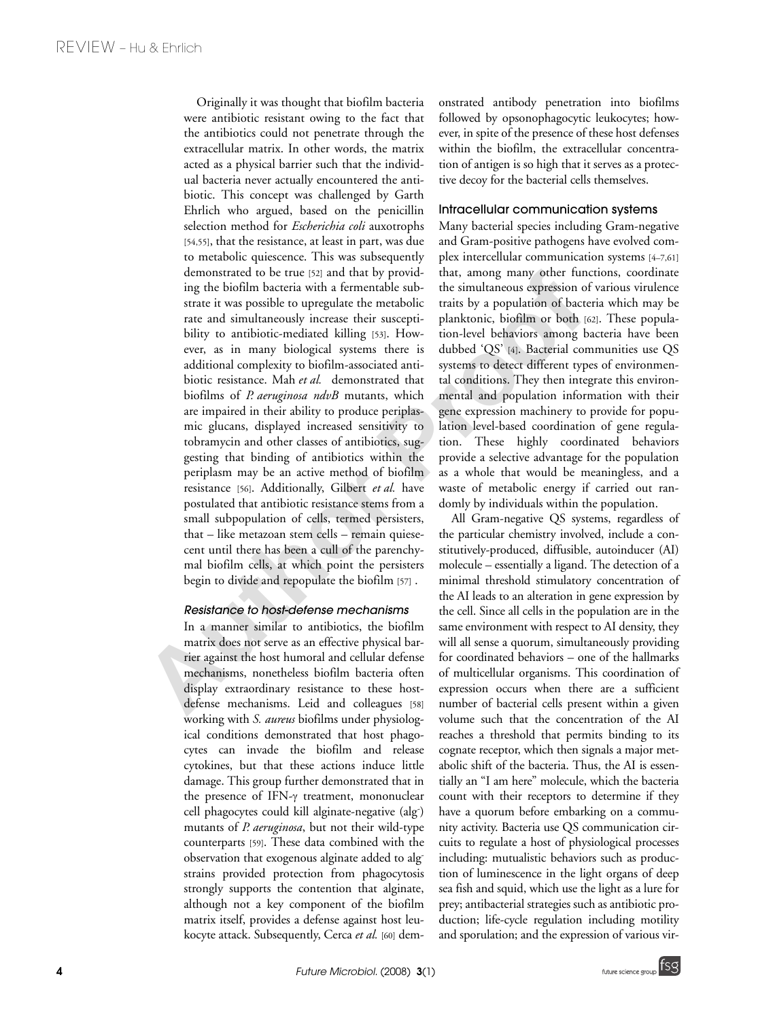demonstrated to be rue [53] and that by provide that, among many other lunctuative charges ing the biofilm bacteria with a fermenable sub-<br>the simultaneous expression of variate it was possible to upregulate the metabolic Originally it was thought that biofilm bacteria were antibiotic resistant owing to the fact that the antibiotics could not penetrate through the extracellular matrix. In other words, the matrix acted as a physical barrier such that the individual bacteria never actually encountered the antibiotic. This concept was challenged by Garth Ehrlich who argued, based on the penicillin selection method for *Escherichia coli* auxotrophs [54,55], that the resistance, at least in part, was due to metabolic quiescence. This was subsequently demonstrated to be true [52] and that by providing the biofilm bacteria with a fermentable substrate it was possible to upregulate the metabolic rate and simultaneously increase their susceptibility to antibiotic-mediated killing [53]. However, as in many biological systems there is additional complexity to biofilm-associated antibiotic resistance. Mah *et al.* demonstrated that biofilms of *P. aeruginosa ndvB* mutants, which are impaired in their ability to produce periplasmic glucans, displayed increased sensitivity to tobramycin and other classes of antibiotics, suggesting that binding of antibiotics within the periplasm may be an active method of biofilm resistance [56]. Additionally, Gilbert *et al.* have postulated that antibiotic resistance stems from a small subpopulation of cells, termed persisters, that – like metazoan stem cells – remain quiesecent until there has been a cull of the parenchymal biofilm cells, at which point the persisters begin to divide and repopulate the biofilm [57] .

## *Resistance to host-defense mechanisms*

In a manner similar to antibiotics, the biofilm matrix does not serve as an effective physical barrier against the host humoral and cellular defense mechanisms, nonetheless biofilm bacteria often display extraordinary resistance to these hostdefense mechanisms. Leid and colleagues [58] working with *S. aureus* biofilms under physiological conditions demonstrated that host phagocytes can invade the biofilm and release cytokines, but that these actions induce little damage. This group further demonstrated that in the presence of IFN-γ treatment, mononuclear cell phagocytes could kill alginate-negative (alg- ) mutants of *P. aeruginosa*, but not their wild-type counterparts [59]. These data combined with the observation that exogenous alginate added to algstrains provided protection from phagocytosis strongly supports the contention that alginate, although not a key component of the biofilm matrix itself, provides a defense against host leukocyte attack. Subsequently, Cerca *et al.* [60] dem-

onstrated antibody penetration into biofilms followed by opsonophagocytic leukocytes; however, in spite of the presence of these host defenses within the biofilm, the extracellular concentration of antigen is so high that it serves as a protective decoy for the bacterial cells themselves.

### Intracellular communication systems

Many bacterial species including Gram-negative and Gram-positive pathogens have evolved complex intercellular communication systems [4–7,61] that, among many other functions, coordinate the simultaneous expression of various virulence traits by a population of bacteria which may be planktonic, biofilm or both [62]. These population-level behaviors among bacteria have been dubbed 'QS' [4]. Bacterial communities use QS systems to detect different types of environmental conditions. They then integrate this environmental and population information with their gene expression machinery to provide for population level-based coordination of gene regulation. These highly coordinated behaviors provide a selective advantage for the population as a whole that would be meaningless, and a waste of metabolic energy if carried out randomly by individuals within the population.

All Gram-negative QS systems, regardless of the particular chemistry involved, include a constitutively-produced, diffusible, autoinducer (AI) molecule – essentially a ligand. The detection of a minimal threshold stimulatory concentration of the AI leads to an alteration in gene expression by the cell. Since all cells in the population are in the same environment with respect to AI density, they will all sense a quorum, simultaneously providing for coordinated behaviors – one of the hallmarks of multicellular organisms. This coordination of expression occurs when there are a sufficient number of bacterial cells present within a given volume such that the concentration of the AI reaches a threshold that permits binding to its cognate receptor, which then signals a major metabolic shift of the bacteria. Thus, the AI is essentially an "I am here" molecule, which the bacteria count with their receptors to determine if they have a quorum before embarking on a community activity. Bacteria use QS communication circuits to regulate a host of physiological processes including: mutualistic behaviors such as production of luminescence in the light organs of deep sea fish and squid, which use the light as a lure for prey; antibacterial strategies such as antibiotic production; life-cycle regulation including motility and sporulation; and the expression of various vir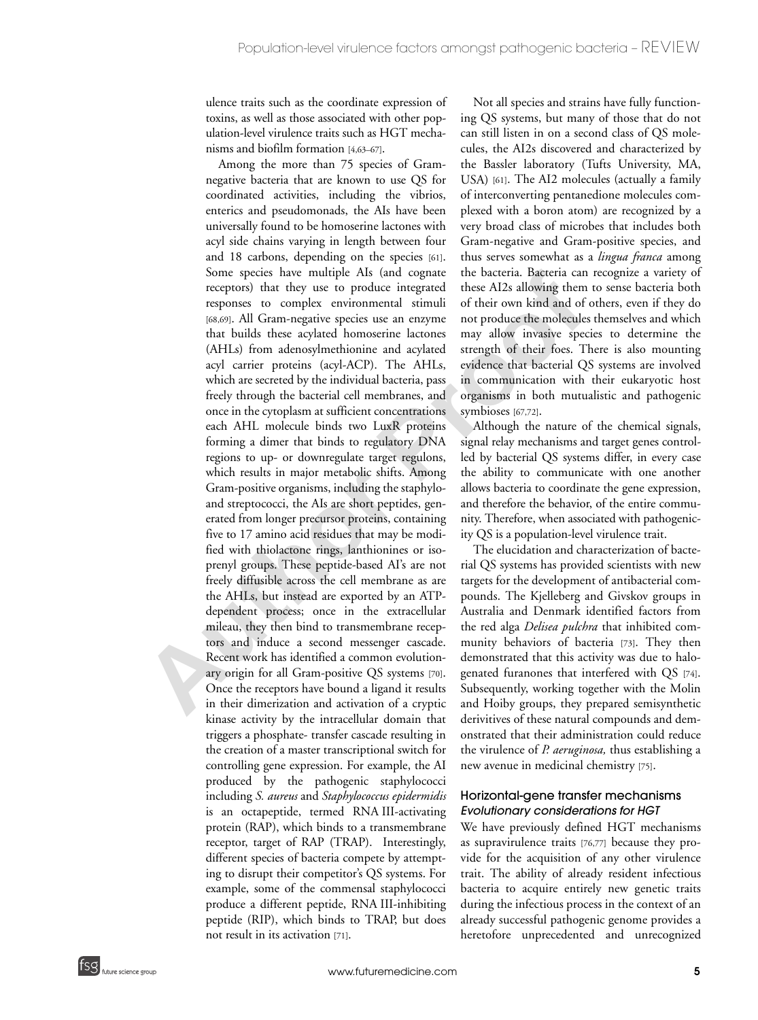ulence traits such as the coordinate expression of toxins, as well as those associated with other population-level virulence traits such as HGT mechanisms and biofilm formation [4,63–67].

Some species have multiple Als (sand cognate the bacteria. Is actioned the cocents of the context of the context or responses to complex environmental simuli of their own kind and of othese). All Gram-negative species use Among the more than 75 species of Gramnegative bacteria that are known to use QS for coordinated activities, including the vibrios, enterics and pseudomonads, the AIs have been universally found to be homoserine lactones with acyl side chains varying in length between four and 18 carbons, depending on the species [61]. Some species have multiple AIs (and cognate receptors) that they use to produce integrated responses to complex environmental stimuli [68,69]. All Gram-negative species use an enzyme that builds these acylated homoserine lactones (AHLs) from adenosylmethionine and acylated acyl carrier proteins (acyl-ACP). The AHLs, which are secreted by the individual bacteria, pass freely through the bacterial cell membranes, and once in the cytoplasm at sufficient concentrations each AHL molecule binds two LuxR proteins forming a dimer that binds to regulatory DNA regions to up- or downregulate target regulons, which results in major metabolic shifts. Among Gram-positive organisms, including the staphyloand streptococci, the AIs are short peptides, generated from longer precursor proteins, containing five to 17 amino acid residues that may be modified with thiolactone rings, lanthionines or isoprenyl groups. These peptide-based AI's are not freely diffusible across the cell membrane as are the AHLs, but instead are exported by an ATPdependent process; once in the extracellular mileau, they then bind to transmembrane receptors and induce a second messenger cascade. Recent work has identified a common evolutionary origin for all Gram-positive QS systems [70]. Once the receptors have bound a ligand it results in their dimerization and activation of a cryptic kinase activity by the intracellular domain that triggers a phosphate- transfer cascade resulting in the creation of a master transcriptional switch for controlling gene expression. For example, the AI produced by the pathogenic staphylococci including *S. aureus* and *Staphylococcus epidermidis* is an octapeptide, termed RNA III-activating protein (RAP), which binds to a transmembrane receptor, target of RAP (TRAP). Interestingly, different species of bacteria compete by attempting to disrupt their competitor's QS systems. For example, some of the commensal staphylococci produce a different peptide, RNA III-inhibiting peptide (RIP), which binds to TRAP, but does not result in its activation [71].

Not all species and strains have fully functioning QS systems, but many of those that do not can still listen in on a second class of QS molecules, the AI2s discovered and characterized by the Bassler laboratory (Tufts University, MA, USA) [61]. The AI2 molecules (actually a family of interconverting pentanedione molecules complexed with a boron atom) are recognized by a very broad class of microbes that includes both Gram-negative and Gram-positive species, and thus serves somewhat as a *lingua franca* among the bacteria. Bacteria can recognize a variety of these AI2s allowing them to sense bacteria both of their own kind and of others, even if they do not produce the molecules themselves and which may allow invasive species to determine the strength of their foes. There is also mounting evidence that bacterial QS systems are involved in communication with their eukaryotic host organisms in both mutualistic and pathogenic symbioses [67,72].

Although the nature of the chemical signals, signal relay mechanisms and target genes controlled by bacterial QS systems differ, in every case the ability to communicate with one another allows bacteria to coordinate the gene expression, and therefore the behavior, of the entire community. Therefore, when associated with pathogenicity QS is a population-level virulence trait.

The elucidation and characterization of bacterial QS systems has provided scientists with new targets for the development of antibacterial compounds. The Kjelleberg and Givskov groups in Australia and Denmark identified factors from the red alga *Delisea pulchra* that inhibited community behaviors of bacteria [73]. They then demonstrated that this activity was due to halogenated furanones that interfered with QS [74]. Subsequently, working together with the Molin and Hoiby groups, they prepared semisynthetic derivitives of these natural compounds and demonstrated that their administration could reduce the virulence of *P. aeruginosa,* thus establishing a new avenue in medicinal chemistry [75].

# Horizontal-gene transfer mechanisms *Evolutionary considerations for HGT*

We have previously defined HGT mechanisms as supravirulence traits [76,77] because they provide for the acquisition of any other virulence trait. The ability of already resident infectious bacteria to acquire entirely new genetic traits during the infectious process in the context of an already successful pathogenic genome provides a heretofore unprecedented and unrecognized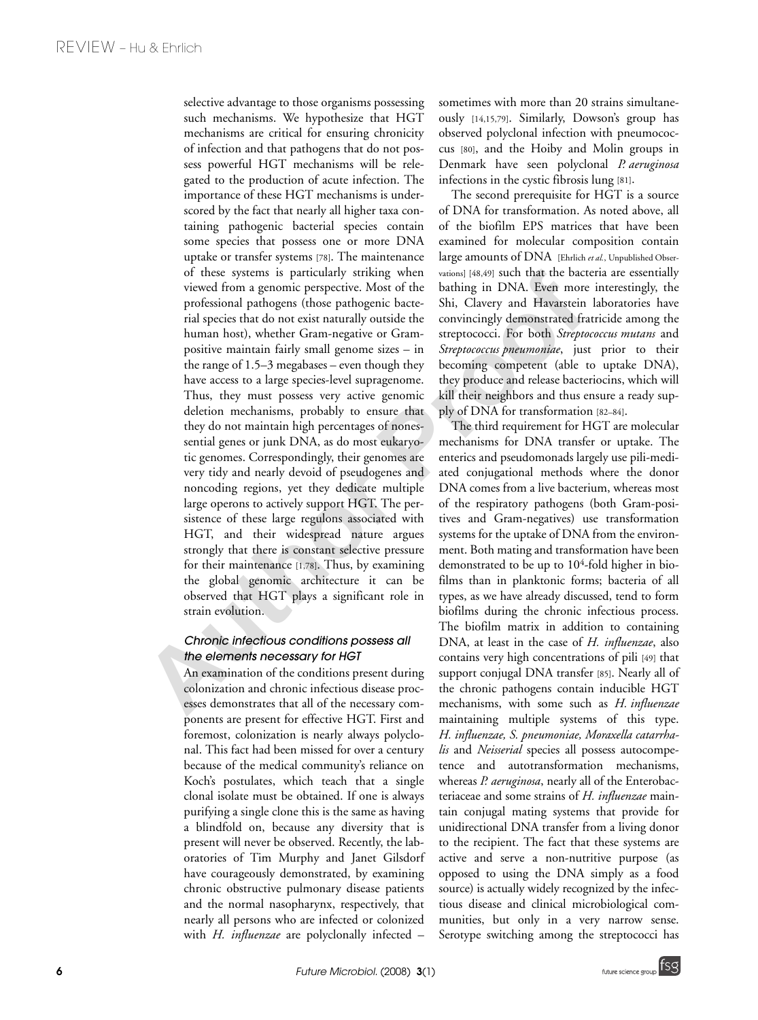of these systems is particularly striking when vailed (set, softs and that the bacteral product is particularly strike that on the contrine professional pathogens (those pathogenic bacters. Shi, Clavery and Havatstein lab selective advantage to those organisms possessing such mechanisms. We hypothesize that HGT mechanisms are critical for ensuring chronicity of infection and that pathogens that do not possess powerful HGT mechanisms will be relegated to the production of acute infection. The importance of these HGT mechanisms is underscored by the fact that nearly all higher taxa containing pathogenic bacterial species contain some species that possess one or more DNA uptake or transfer systems [78]. The maintenance of these systems is particularly striking when viewed from a genomic perspective. Most of the professional pathogens (those pathogenic bacterial species that do not exist naturally outside the human host), whether Gram-negative or Grampositive maintain fairly small genome sizes – in the range of 1.5–3 megabases – even though they have access to a large species-level supragenome. Thus, they must possess very active genomic deletion mechanisms, probably to ensure that they do not maintain high percentages of nonessential genes or junk DNA, as do most eukaryotic genomes. Correspondingly, their genomes are very tidy and nearly devoid of pseudogenes and noncoding regions, yet they dedicate multiple large operons to actively support HGT. The persistence of these large regulons associated with HGT, and their widespread nature argues strongly that there is constant selective pressure for their maintenance [1,78]. Thus, by examining the global genomic architecture it can be observed that HGT plays a significant role in strain evolution.

# *Chronic infectious conditions possess all the elements necessary for HGT*

An examination of the conditions present during colonization and chronic infectious disease processes demonstrates that all of the necessary components are present for effective HGT. First and foremost, colonization is nearly always polyclonal. This fact had been missed for over a century because of the medical community's reliance on Koch's postulates, which teach that a single clonal isolate must be obtained. If one is always purifying a single clone this is the same as having a blindfold on, because any diversity that is present will never be observed. Recently, the laboratories of Tim Murphy and Janet Gilsdorf have courageously demonstrated, by examining chronic obstructive pulmonary disease patients and the normal nasopharynx, respectively, that nearly all persons who are infected or colonized with *H. influenzae* are polyclonally infected –

sometimes with more than 20 strains simultaneously [14,15,79]. Similarly, Dowson's group has observed polyclonal infection with pneumococcus [80], and the Hoiby and Molin groups in Denmark have seen polyclonal *P. aeruginosa* infections in the cystic fibrosis lung [81].

The second prerequisite for HGT is a source of DNA for transformation. As noted above, all of the biofilm EPS matrices that have been examined for molecular composition contain large amounts of DNA [Ehrlich *et al.*, Unpublished Observations] [48,49] such that the bacteria are essentially bathing in DNA. Even more interestingly, the Shi, Clavery and Havarstein laboratories have convincingly demonstrated fratricide among the streptococci. For both *Streptococcus mutans* and *Streptococcus pneumoniae*, just prior to their becoming competent (able to uptake DNA), they produce and release bacteriocins, which will kill their neighbors and thus ensure a ready supply of DNA for transformation [82–84].

The third requirement for HGT are molecular mechanisms for DNA transfer or uptake. The enterics and pseudomonads largely use pili-mediated conjugational methods where the donor DNA comes from a live bacterium, whereas most of the respiratory pathogens (both Gram-positives and Gram-negatives) use transformation systems for the uptake of DNA from the environment. Both mating and transformation have been demonstrated to be up to  $10<sup>4</sup>$ -fold higher in biofilms than in planktonic forms; bacteria of all types, as we have already discussed, tend to form biofilms during the chronic infectious process. The biofilm matrix in addition to containing DNA, at least in the case of *H. influenzae*, also contains very high concentrations of pili [49] that support conjugal DNA transfer [85]. Nearly all of the chronic pathogens contain inducible HGT mechanisms, with some such as *H. influenzae* maintaining multiple systems of this type. *H. influenzae, S. pneumoniae, Moraxella catarrhalis* and *Neisserial* species all possess autocompetence and autotransformation mechanisms, whereas *P. aeruginosa*, nearly all of the Enterobacteriaceae and some strains of *H. influenzae* maintain conjugal mating systems that provide for unidirectional DNA transfer from a living donor to the recipient. The fact that these systems are active and serve a non-nutritive purpose (as opposed to using the DNA simply as a food source) is actually widely recognized by the infectious disease and clinical microbiological communities, but only in a very narrow sense. Serotype switching among the streptococci has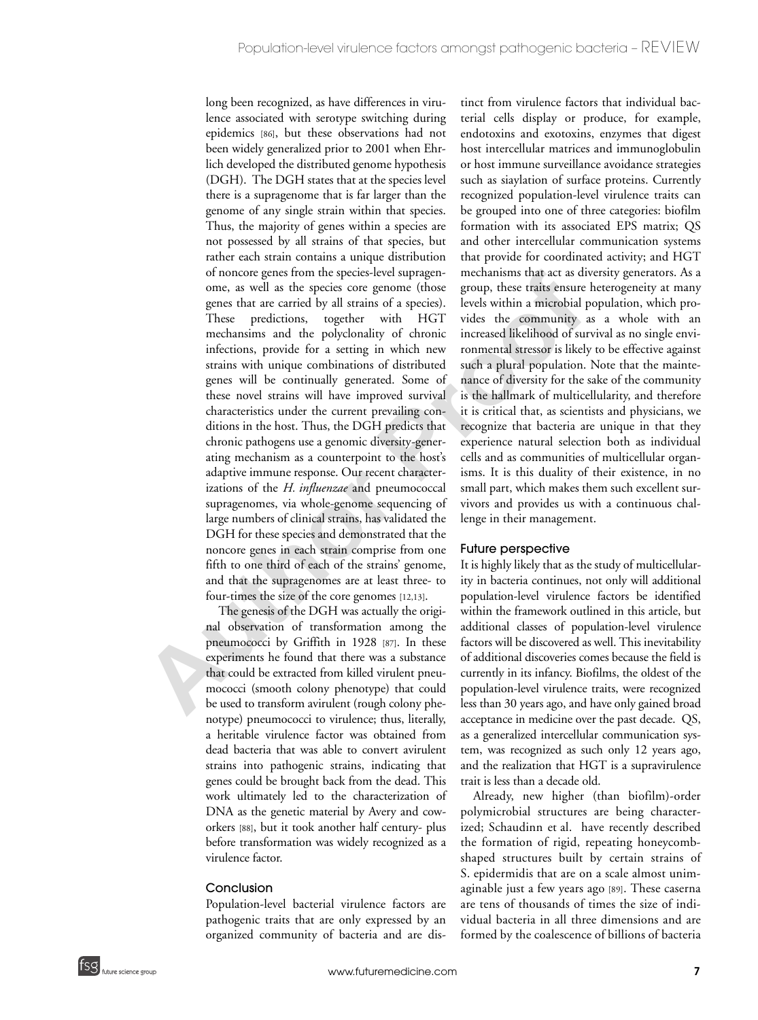of noncog genes from the species-level supragn-mechanism stat at as diverse component mechanism state at a stress one, as well as the peices ore genome (those group, these ratios experiments that are carried by all strains long been recognized, as have differences in virulence associated with serotype switching during epidemics [86], but these observations had not been widely generalized prior to 2001 when Ehrlich developed the distributed genome hypothesis (DGH). The DGH states that at the species level there is a supragenome that is far larger than the genome of any single strain within that species. Thus, the majority of genes within a species are not possessed by all strains of that species, but rather each strain contains a unique distribution of noncore genes from the species-level supragenome, as well as the species core genome (those genes that are carried by all strains of a species). These predictions, together with HGT mechansims and the polyclonality of chronic infections, provide for a setting in which new strains with unique combinations of distributed genes will be continually generated. Some of these novel strains will have improved survival characteristics under the current prevailing conditions in the host. Thus, the DGH predicts that chronic pathogens use a genomic diversity-generating mechanism as a counterpoint to the host's adaptive immune response. Our recent characterizations of the *H. influenzae* and pneumococcal supragenomes, via whole-genome sequencing of large numbers of clinical strains, has validated the DGH for these species and demonstrated that the noncore genes in each strain comprise from one fifth to one third of each of the strains' genome, and that the supragenomes are at least three- to four-times the size of the core genomes [12,13].

The genesis of the DGH was actually the original observation of transformation among the pneumococci by Griffith in 1928 [87]. In these experiments he found that there was a substance that could be extracted from killed virulent pneumococci (smooth colony phenotype) that could be used to transform avirulent (rough colony phenotype) pneumococci to virulence; thus, literally, a heritable virulence factor was obtained from dead bacteria that was able to convert avirulent strains into pathogenic strains, indicating that genes could be brought back from the dead. This work ultimately led to the characterization of DNA as the genetic material by Avery and coworkers [88], but it took another half century- plus before transformation was widely recognized as a virulence factor.

## Conclusion

Population-level bacterial virulence factors are pathogenic traits that are only expressed by an organized community of bacteria and are dis-

tinct from virulence factors that individual bacterial cells display or produce, for example, endotoxins and exotoxins, enzymes that digest host intercellular matrices and immunoglobulin or host immune surveillance avoidance strategies such as siaylation of surface proteins. Currently recognized population-level virulence traits can be grouped into one of three categories: biofilm formation with its associated EPS matrix; QS and other intercellular communication systems that provide for coordinated activity; and HGT mechanisms that act as diversity generators. As a group, these traits ensure heterogeneity at many levels within a microbial population, which provides the community as a whole with an increased likelihood of survival as no single environmental stressor is likely to be effective against such a plural population. Note that the maintenance of diversity for the sake of the community is the hallmark of multicellularity, and therefore it is critical that, as scientists and physicians, we recognize that bacteria are unique in that they experience natural selection both as individual cells and as communities of multicellular organisms. It is this duality of their existence, in no small part, which makes them such excellent survivors and provides us with a continuous challenge in their management.

### Future perspective

It is highly likely that as the study of multicellularity in bacteria continues, not only will additional population-level virulence factors be identified within the framework outlined in this article, but additional classes of population-level virulence factors will be discovered as well. This inevitability of additional discoveries comes because the field is currently in its infancy. Biofilms, the oldest of the population-level virulence traits, were recognized less than 30 years ago, and have only gained broad acceptance in medicine over the past decade. QS, as a generalized intercellular communication system, was recognized as such only 12 years ago, and the realization that HGT is a supravirulence trait is less than a decade old.

Already, new higher (than biofilm)-order polymicrobial structures are being characterized; Schaudinn et al. have recently described the formation of rigid, repeating honeycombshaped structures built by certain strains of S. epidermidis that are on a scale almost unimaginable just a few years ago [89]. These caserna are tens of thousands of times the size of individual bacteria in all three dimensions and are formed by the coalescence of billions of bacteria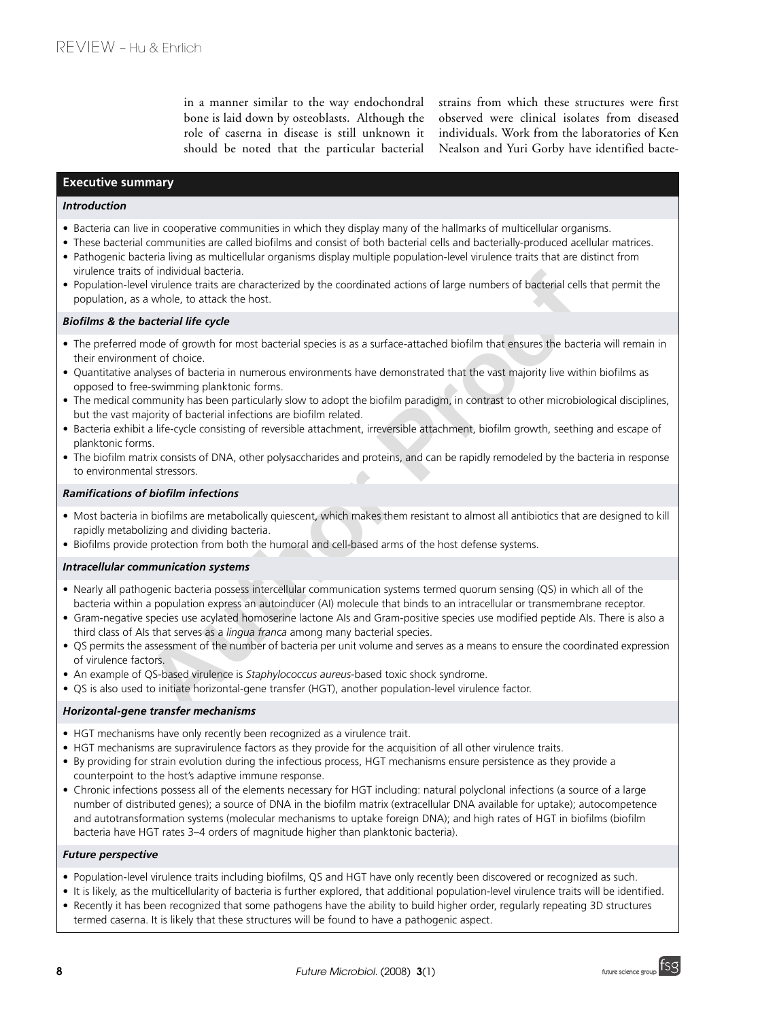in a manner similar to the way endochondral bone is laid down by osteoblasts. Although the role of caserna in disease is still unknown it should be noted that the particular bacterial

strains from which these structures were first observed were clinical isolates from diseased individuals. Work from the laboratories of Ken Nealson and Yuri Gorby have identified bacte-

# **Executive summary**

# *Introduction*

- Bacteria can live in cooperative communities in which they display many of the hallmarks of multicellular organisms.
- These bacterial communities are called biofilms and consist of both bacterial cells and bacterially-produced acellular matrices.
- Pathogenic bacteria living as multicellular organisms display multiple population-level virulence traits that are distinct from virulence traits of individual bacteria.
- Population-level virulence traits are characterized by the coordinated actions of large numbers of bacterial cells that permit the population, as a whole, to attack the host.

### *Biofilms & the bacterial life cycle*

- The preferred mode of growth for most bacterial species is as a surface-attached biofilm that ensures the bacteria will remain in their environment of choice.
- Quantitative analyses of bacteria in numerous environments have demonstrated that the vast majority live within biofilms as opposed to free-swimming planktonic forms.
- The medical community has been particularly slow to adopt the biofilm paradigm, in contrast to other microbiological disciplines, but the vast majority of bacterial infections are biofilm related.
- Bacteria exhibit a life-cycle consisting of reversible attachment, irreversible attachment, biofilm growth, seething and escape of planktonic forms.
- The biofilm matrix consists of DNA, other polysaccharides and proteins, and can be rapidly remodeled by the bacteria in response to environmental stressors.

## *Ramifications of biofilm infections*

- Most bacteria in biofilms are metabolically quiescent, which makes them resistant to almost all antibiotics that are designed to kill rapidly metabolizing and dividing bacteria.
- Biofilms provide protection from both the humoral and cell-based arms of the host defense systems.

#### *Intracellular communication systems*

- or Individual acteria.<br>
And acterial caterial caterial caterial caterial calculated actions of large numbers of bacterial cells tha<br>
a whole, to attack the host.<br> **Absolution is a** whole, to attack the host.<br> **Absolution i** • Nearly all pathogenic bacteria possess intercellular communication systems termed quorum sensing (QS) in which all of the bacteria within a population express an autoinducer (AI) molecule that binds to an intracellular or transmembrane receptor.
- Gram-negative species use acylated homoserine lactone AIs and Gram-positive species use modified peptide AIs. There is also a third class of AIs that serves as a *lingua franca* among many bacterial species.
- QS permits the assessment of the number of bacteria per unit volume and serves as a means to ensure the coordinated expression of virulence factors.
- An example of QS-based virulence is *Staphylococcus aureus*-based toxic shock syndrome.
- QS is also used to initiate horizontal-gene transfer (HGT), another population-level virulence factor.

#### *Horizontal-gene transfer mechanisms*

- HGT mechanisms have only recently been recognized as a virulence trait.
- HGT mechanisms are supravirulence factors as they provide for the acquisition of all other virulence traits.
- By providing for strain evolution during the infectious process, HGT mechanisms ensure persistence as they provide a counterpoint to the host's adaptive immune response.
- Chronic infections possess all of the elements necessary for HGT including: natural polyclonal infections (a source of a large number of distributed genes); a source of DNA in the biofilm matrix (extracellular DNA available for uptake); autocompetence and autotransformation systems (molecular mechanisms to uptake foreign DNA); and high rates of HGT in biofilms (biofilm bacteria have HGT rates 3–4 orders of magnitude higher than planktonic bacteria).

#### *Future perspective*

- Population-level virulence traits including biofilms, QS and HGT have only recently been discovered or recognized as such.
- It is likely, as the multicellularity of bacteria is further explored, that additional population-level virulence traits will be identified.
- Recently it has been recognized that some pathogens have the ability to build higher order, regularly repeating 3D structures termed caserna. It is likely that these structures will be found to have a pathogenic aspect.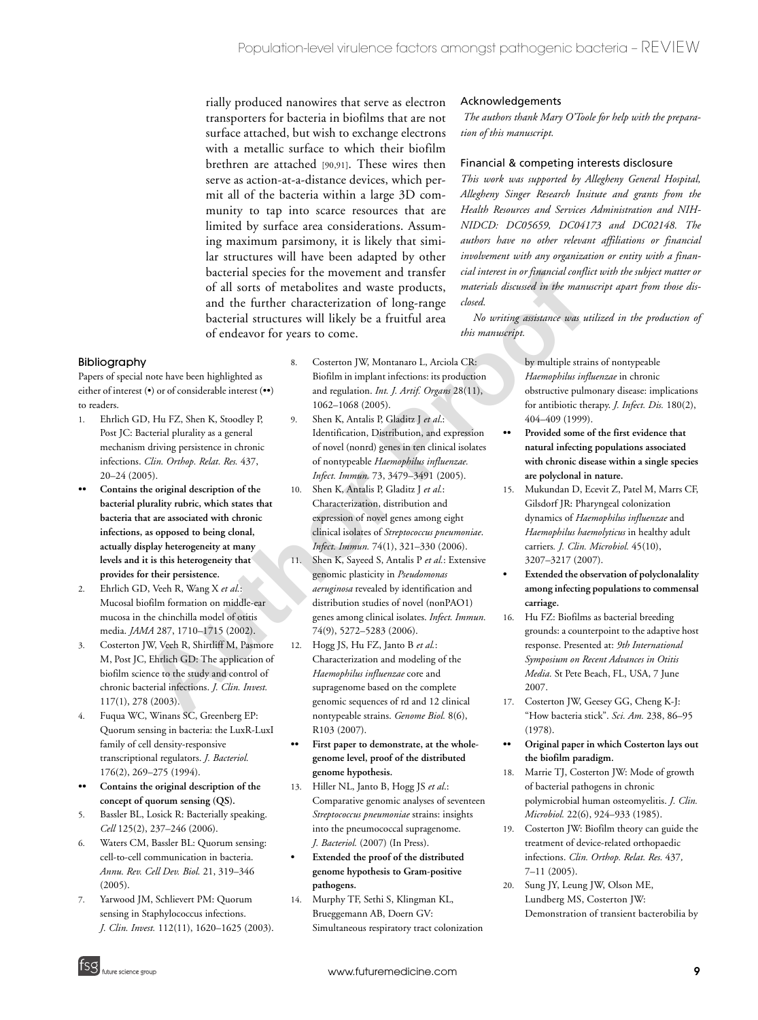bacterial species for the movement and transfer cost method complete the control of all sorts of metabolities and wave products, material aircross of the material and the further characterization of long-range closed.<br>
So rially produced nanowires that serve as electron transporters for bacteria in biofilms that are not surface attached, but wish to exchange electrons with a metallic surface to which their biofilm brethren are attached [90,91]. These wires then serve as action-at-a-distance devices, which permit all of the bacteria within a large 3D community to tap into scarce resources that are limited by surface area considerations. Assuming maximum parsimony, it is likely that similar structures will have been adapted by other bacterial species for the movement and transfer of all sorts of metabolites and waste products, and the further characterization of long-range bacterial structures will likely be a fruitful area of endeavor for years to come.

## Bibliography

Papers of special note have been highlighted as either of interest (•) or of considerable interest (••) to readers.

- 1. Ehrlich GD, Hu FZ, Shen K, Stoodley P, Post JC: Bacterial plurality as a general mechanism driving persistence in chronic infections. *Clin. Orthop. Relat. Res.* 437, 20–24 (2005).
- **•• Contains the original description of the bacterial plurality rubric, which states that bacteria that are associated with chronic infections, as opposed to being clonal, actually display heterogeneity at many levels and it is this heterogeneity that provides for their persistence.**
- 2. Ehrlich GD, Veeh R, Wang X *et al.*: Mucosal biofilm formation on middle-ear mucosa in the chinchilla model of otitis media. *JAMA* 287, 1710–1715 (2002).
- 3. Costerton JW, Veeh R, Shirtliff M, Pasmore M, Post JC, Ehrlich GD: The application of biofilm science to the study and control of chronic bacterial infections. *J. Clin. Invest.*  117(1), 278 (2003).
- 4. Fuqua WC, Winans SC, Greenberg EP: Quorum sensing in bacteria: the LuxR-LuxI family of cell density-responsive transcriptional regulators. *J. Bacteriol.* 176(2), 269–275 (1994).
- **•• Contains the original description of the concept of quorum sensing (QS).**
- 5. Bassler BL, Losick R: Bacterially speaking. *Cell* 125(2), 237–246 (2006).
- 6. Waters CM, Bassler BL: Quorum sensing: cell-to-cell communication in bacteria. *Annu. Rev. Cell Dev. Biol.* 21, 319–346 (2005).
- 7. Yarwood JM, Schlievert PM: Quorum sensing in Staphylococcus infections. *J. Clin. Invest.* 112(11), 1620–1625 (2003).
- 8. Costerton JW, Montanaro L, Arciola CR: Biofilm in implant infections: its production and regulation. *Int. J. Artif. Organs* 28(11), 1062–1068 (2005).
- 9. Shen K, Antalis P, Gladitz J *et al*.: Identification, Distribution, and expression of novel (nonrd) genes in ten clinical isolates of nontypeable *Haemophilus influenzae. Infect. Immun.* 73, 3479–3491 (2005).
- 10. Shen K, Antalis P, Gladitz J *et al.*: Characterization, distribution and expression of novel genes among eight clinical isolates of *Streptococcus pneumoniae*. *Infect. Immun.* 74(1), 321–330 (2006).
- 11. Shen K, Sayeed S, Antalis P *et al.*: Extensive genomic plasticity in *Pseudomonas aeruginosa* revealed by identification and distribution studies of novel (nonPAO1) genes among clinical isolates. *Infect. Immun.*  74(9), 5272–5283 (2006).
- 12. Hogg JS, Hu FZ, Janto B *et al.*: Characterization and modeling of the *Haemophilus influenzae* core and supragenome based on the complete genomic sequences of rd and 12 clinical nontypeable strains. *Genome Biol.* 8(6), R103 (2007).
- **•• First paper to demonstrate, at the wholegenome level, proof of the distributed genome hypothesis.**
- 13. Hiller NL, Janto B, Hogg JS *et al*.: Comparative genomic analyses of seventeen *Streptococcus pneumoniae* strains: insights into the pneumococcal supragenome. *J. Bacteriol.* (2007) (In Press).
- **Extended the proof of the distributed genome hypothesis to Gram-positive pathogens.**
- 14. Murphy TF, Sethi S, Klingman KL, Brueggemann AB, Doern GV: Simultaneous respiratory tract colonization

## Acknowledgements

 *The authors thank Mary O'Toole for help with the preparation of this manuscript.* 

#### Financial & competing interests disclosure

*This work was supported by Allegheny General Hospital, Allegheny Singer Research Insitute and grants from the Health Resources and Services Administration and NIH-NIDCD: DC05659, DC04173 and DC02148. The authors have no other relevant affiliations or financial involvement with any organization or entity with a financial interest in or financial conflict with the subject matter or materials discussed in the manuscript apart from those disclosed.*

*No writing assistance was utilized in the production of this manuscript.*

> by multiple strains of nontypeable *Haemophilus influenzae* in chronic obstructive pulmonary disease: implications for antibiotic therapy. *J. Infect. Dis.* 180(2), 404–409 (1999).

- **•• Provided some of the first evidence that natural infecting populations associated with chronic disease within a single species are polyclonal in nature.**
- 15. Mukundan D, Ecevit Z, Patel M, Marrs CF, Gilsdorf JR: Pharyngeal colonization dynamics of *Haemophilus influenzae* and *Haemophilus haemolyticus* in healthy adult carriers*. J. Clin. Microbiol.* 45(10), 3207–3217 (2007).
- **Extended the observation of polyclonalality among infecting populations to commensal carriage.**
- 16. Hu FZ: Biofilms as bacterial breeding grounds: a counterpoint to the adaptive host response. Presented at: *9th International Symposium on Recent Advances in Otitis Media.* St Pete Beach, FL, USA, 7 June 2007.
- 17. Costerton JW, Geesey GG, Cheng K-J: "How bacteria stick". *Sci. Am.* 238, 86–95 (1978).
- **•• Original paper in which Costerton lays out the biofilm paradigm.**
- 18. Marrie TJ, Costerton JW: Mode of growth of bacterial pathogens in chronic polymicrobial human osteomyelitis. *J. Clin. Microbiol.* 22(6), 924–933 (1985).
- 19. Costerton JW: Biofilm theory can guide the treatment of device-related orthopaedic infections. *Clin. Orthop. Relat. Res.* 437*,* 7–11 (2005).
- 20. Sung JY, Leung JW, Olson ME, Lundberg MS, Costerton JW: Demonstration of transient bacterobilia by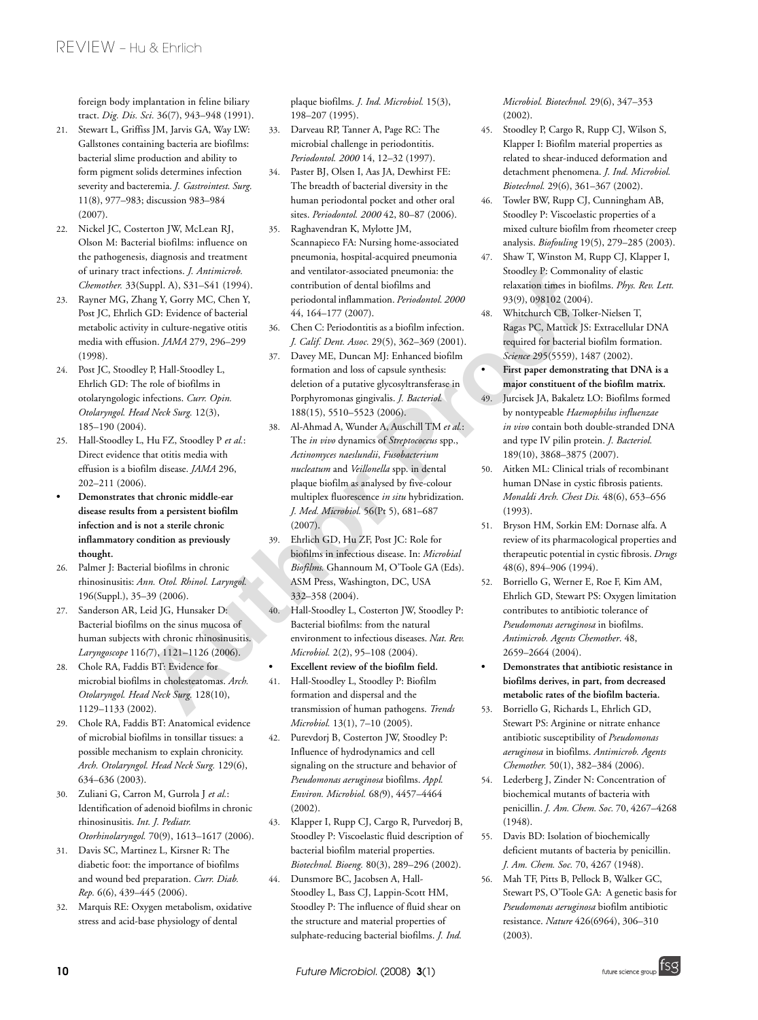foreign body implantation in feline biliary tract. *Dig. Dis. Sci.* 36(7), 943–948 (1991).

- 21. Stewart L, Griffiss JM, Jarvis GA, Way LW: Gallstones containing bacteria are biofilms: bacterial slime production and ability to form pigment solids determines infection severity and bacteremia. *J. Gastrointest. Surg.* 11(8), 977–983; discussion 983–984 (2007).
- 22. Nickel JC, Costerton JW, McLean RJ, Olson M: Bacterial biofilms: influence on the pathogenesis, diagnosis and treatment of urinary tract infections. *J. Antimicrob. Chemother.* 33(Suppl. A), S31–S41 (1994).
- 23. Rayner MG, Zhang Y, Gorry MC, Chen Y, Post JC, Ehrlich GD: Evidence of bacterial metabolic activity in culture-negative otitis media with effusion. *JAMA* 279, 296–299 (1998).
- 24. Post JC, Stoodley P, Hall-Stoodley L, Ehrlich GD: The role of biofilms in otolaryngologic infections. *Curr. Opin. Otolaryngol. Head Neck Surg.* 12(3), 185–190 (2004).
- 25. Hall-Stoodley L, Hu FZ, Stoodley P *et al.*: Direct evidence that otitis media with effusion is a biofilm disease. *JAMA* 296, 202–211 (2006).
- **Demonstrates that chronic middle-ear disease results from a persistent biofilm infection and is not a sterile chronic inflammatory condition as previously thought.**
- 26. Palmer J: Bacterial biofilms in chronic rhinosinusitis: *Ann. Otol. Rhinol. Laryngol.* 196(Suppl.), 35–39 (2006).
- 27. Sanderson AR, Leid JG, Hunsaker D: Bacterial biofilms on the sinus mucosa of human subjects with chronic rhinosinusitis. *Laryngoscope* 116*(*7), 1121–1126 (2006).
- 28. Chole RA, Faddis BT: Evidence for microbial biofilms in cholesteatomas. *Arch. Otolaryngol. Head Neck Surg.* 128(10), 1129–1133 (2002).
- 29. Chole RA, Faddis BT: Anatomical evidence of microbial biofilms in tonsillar tissues: a possible mechanism to explain chronicity. *Arch. Otolaryngol. Head Neck Surg.* 129(6), 634–636 (2003).
- 30. Zuliani G, Carron M, Gurrola J *et al.*: Identification of adenoid biofilms in chronic rhinosinusitis. *Int. J. Pediatr. Otorhinolaryngol.* 70(9), 1613–1617 (2006).
- 31. Davis SC, Martinez L, Kirsner R: The diabetic foot: the importance of biofilms and wound bed preparation. *Curr. Diab. Rep.* 6(6), 439–445 (2006).
- 32. Marquis RE: Oxygen metabolism, oxidative stress and acid-base physiology of dental

plaque biofilms. *J. Ind. Microbiol.* 15(3), 198–207 (1995).

- 33. Darveau RP, Tanner A, Page RC: The microbial challenge in periodontitis. *Periodontol. 2000* 14, 12–32 (1997).
- 34. Paster BJ, Olsen I, Aas JA, Dewhirst FE: The breadth of bacterial diversity in the human periodontal pocket and other oral sites. *Periodontol. 2000* 42, 80–87 (2006).
- 35. Raghavendran K, Mylotte JM, Scannapieco FA: Nursing home-associated pneumonia, hospital-acquired pneumonia and ventilator-associated pneumonia: the contribution of dental biofilms and periodontal inflammation. *Periodontol. 2000* 44, 164–177 (2007).
- 36. Chen C: Periodontitis as a biofilm infection. *J. Calif. Dent. Assoc.* 29(5), 362–369 (2001).
- 37. Davey ME, Duncan MJ: Enhanced biofilm formation and loss of capsule synthesis: deletion of a putative glycosyltransferase in Porphyromonas gingivalis. *J. Bacteriol.* 188(15), 5510–5523 (2006).
- mlettons, *1. Antumoreb.* and ventilent associate presentent particular is considered by Commonlary Company (Company Company (Company Company (Company (Company (Company (Company (Company (Company (Company (Company (Compan 38. Al-Ahmad A, Wunder A, Auschill TM *et al.*: The *in vivo* dynamics of *Streptococcus* spp., *Actinomyces naeslundii*, *Fusobacterium nucleatum* and *Veillonella* spp. in dental plaque biofilm as analysed by five-colour multiplex fluorescence *in situ* hybridization. *J. Med. Microbiol.* 56(Pt 5), 681–687  $(2007)$ .
	- 39. Ehrlich GD, Hu ZF, Post JC: Role for biofilms in infectious disease. In: *Microbial Biofilms.* Ghannoum M, O'Toole GA (Eds). ASM Press, Washington, DC, USA 332–358 (2004).
	- 40. Hall-Stoodley L, Costerton JW, Stoodley P: Bacterial biofilms: from the natural environment to infectious diseases. *Nat. Rev. Microbiol.* 2(2), 95–108 (2004).
	- **Excellent review of the biofilm field.**
	- 41. Hall-Stoodley L, Stoodley P: Biofilm formation and dispersal and the transmission of human pathogens. *Trends Microbiol.* 13(1), 7–10 (2005).
	- 42. Purevdorj B, Costerton JW, Stoodley P: Influence of hydrodynamics and cell signaling on the structure and behavior of *Pseudomonas aeruginosa* biofilms. *Appl. Environ. Microbiol.* 68*(*9), 4457–4464  $(2002)$
	- 43. Klapper I, Rupp CJ, Cargo R, Purvedorj B, Stoodley P: Viscoelastic fluid description of bacterial biofilm material properties. *Biotechnol. Bioeng.* 80(3), 289–296 (2002).
	- 44. Dunsmore BC, Jacobsen A, Hall-Stoodley L, Bass CJ, Lappin-Scott HM, Stoodley P: The influence of fluid shear on the structure and material properties of sulphate-reducing bacterial biofilms. *J. Ind.*

*Microbiol. Biotechnol.* 29(6), 347–353 (2002).

- 45. Stoodley P, Cargo R, Rupp CJ, Wilson S, Klapper I: Biofilm material properties as related to shear-induced deformation and detachment phenomena. *J. Ind. Microbiol. Biotechnol.* 29(6), 361–367 (2002).
- 46. Towler BW, Rupp CJ, Cunningham AB, Stoodley P: Viscoelastic properties of a mixed culture biofilm from rheometer creep analysis. *Biofouling* 19(5), 279–285 (2003).
- 47. Shaw T, Winston M, Rupp CJ, Klapper I, Stoodley P: Commonality of elastic relaxation times in biofilms. *Phys. Rev. Lett.*  93(9), 098102 (2004).
- 48. Whitchurch CB, Tolker-Nielsen T, Ragas PC, Mattick JS: Extracellular DNA required for bacterial biofilm formation. *Science* 295(5559), 1487 (2002).
	- **First paper demonstrating that DNA is a major constituent of the biofilm matrix.**
- 49. Jurcisek JA, Bakaletz LO: Biofilms formed by nontypeable *Haemophilus influenzae in vivo* contain both double-stranded DNA and type IV pilin protein. *J. Bacteriol.* 189(10), 3868–3875 (2007).
- 50. Aitken ML: Clinical trials of recombinant human DNase in cystic fibrosis patients. *Monaldi Arch. Chest Dis.* 48(6), 653–656 (1993).
- 51. Bryson HM, Sorkin EM: Dornase alfa. A review of its pharmacological properties and therapeutic potential in cystic fibrosis. *Drugs* 48(6), 894–906 (1994).
- 52. Borriello G, Werner E, Roe F, Kim AM, Ehrlich GD, Stewart PS: Oxygen limitation contributes to antibiotic tolerance of *Pseudomonas aeruginosa* in biofilms. *Antimicrob. Agents Chemother*. 48, 2659–2664 (2004).
- **Demonstrates that antibiotic resistance in biofilms derives, in part, from decreased metabolic rates of the biofilm bacteria.**
- 53. Borriello G, Richards L, Ehrlich GD, Stewart PS: Arginine or nitrate enhance antibiotic susceptibility of *Pseudomonas aeruginosa* in biofilms. *Antimicrob. Agents Chemother.* 50(1), 382–384 (2006).
- 54. Lederberg J, Zinder N: Concentration of biochemical mutants of bacteria with penicillin. *J. Am. Chem. Soc.* 70, 4267–4268 (1948).
- 55. Davis BD: Isolation of biochemically deficient mutants of bacteria by penicillin. *J. Am. Chem. Soc.* 70, 4267 (1948).
- 56. Mah TF, Pitts B, Pellock B, Walker GC, Stewart PS, O'Toole GA: A genetic basis for *Pseudomonas aeruginosa* biofilm antibiotic resistance. *Nature* 426(6964), 306–310 (2003).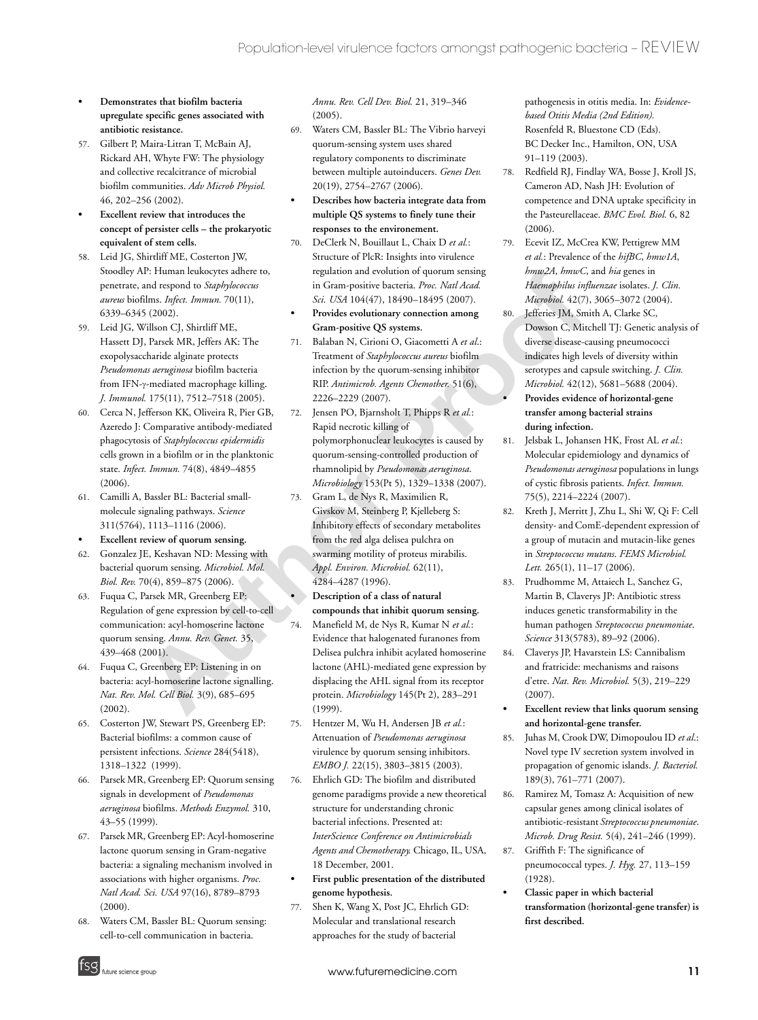- **Demonstrates that biofilm bacteria upregulate specific genes associated with antibiotic resistance.**
- 57. Gilbert P, Maira-Litran T, McBain AJ, Rickard AH, Whyte FW: The physiology and collective recalcitrance of microbial biofilm communities. *Adv Microb Physiol.*  46, 202–256 (2002).
- **Excellent review that introduces the concept of persister cells – the prokaryotic equivalent of stem cells.**
- 58. Leid JG, Shirtliff ME, Costerton JW, Stoodley AP: Human leukocytes adhere to, penetrate, and respond to *Staphylococcus aureus* biofilms. *Infect. Immun.* 70(11), 6339–6345 (2002).
- 59. Leid JG, Willson CJ, Shirtliff ME, Hassett DJ, Parsek MR, Jeffers AK: The exopolysaccharide alginate protects *Pseudomonas aeruginosa* biofilm bacteria from IFN-γ-mediated macrophage killing. *J. Immunol.* 175(11), 7512–7518 (2005).
- 60. Cerca N, Jefferson KK, Oliveira R, Pier GB, Azeredo J: Comparative antibody-mediated phagocytosis of *Staphylococcus epidermidis* cells grown in a biofilm or in the planktonic state. *Infect. Immun.* 74(8), 4849–4855 (2006).
- 61. Camilli A, Bassler BL: Bacterial smallmolecule signaling pathways. *Science*  311(5764), 1113–1116 (2006).
- **Excellent review of quorum sensing.**
- 62. Gonzalez JE, Keshavan ND: Messing with bacterial quorum sensing. *Microbiol. Mol. Biol. Rev.* 70(4), 859–875 (2006).
- 63. Fuqua C, Parsek MR, Greenberg EP: Regulation of gene expression by cell-to-cell communication: acyl-homoserine lactone quorum sensing. *Annu. Rev. Genet.* 35, 439–468 (2001).
- 64. Fuqua C, Greenberg EP: Listening in on bacteria: acyl-homoserine lactone signalling. *Nat. Rev. Mol. Cell Biol.* 3(9), 685–695 (2002).
- 65. Costerton JW, Stewart PS, Greenberg EP: Bacterial biofilms: a common cause of persistent infections. *Science* 284(5418), 1318–1322 (1999).
- 66. Parsek MR, Greenberg EP: Quorum sensing signals in development of *Pseudomonas aeruginosa* biofilms. *Methods Enzymol.* 310, 43–55 (1999).
- 67. Parsek MR, Greenberg EP: Acyl-homoserine lactone quorum sensing in Gram-negative bacteria: a signaling mechanism involved in associations with higher organisms. *Proc. Natl Acad. Sci. USA* 97(16), 8789–8793 (2000).
- Waters CM, Bassler BL: Quorum sensing: cell-to-cell communication in bacteria.

*Annu. Rev. Cell Dev. Biol.* 21, 319–346  $(2005).$ 

- 69. Waters CM, Bassler BL: The Vibrio harveyi quorum-sensing system uses shared regulatory components to discriminate between multiple autoinducers. *Genes Dev.* 20(19), 2754–2767 (2006).
- **Describes how bacteria integrate data from multiple QS systems to finely tune their responses to the environement.**
- 70. DeClerk N, Bouillaut L, Chaix D *et al.*: Structure of PlcR: Insights into virulence regulation and evolution of quorum sensing in Gram-positive bacteria. *Proc. Natl Acad. Sci. USA* 104(47), 18490–18495 (2007).
- **Provides evolutionary connection among Gram-positive QS systems.**
- 71. Balaban N, Cirioni O, Giacometti A *et al*.: Treatment of *Staphylococcus aureus* biofilm infection by the quorum-sensing inhibitor RIP. *Antimicrob. Agents Chemother.* 51(6), 2226–2229 (2007).
- 72. Jensen PO, Bjarnsholt T, Phipps R *et al.*: Rapid necrotic killing of polymorphonuclear leukocytes is caused by quorum-sensing-controlled production of rhamnolipid by *Pseudomonas aeruginosa*. *Microbiology* 153(Pt 5), 1329–1338 (2007).
- Alle therma heutocytes adher to, regulation and evolution of quotin means and exposition and the subject to the diffine *Inferior Liman Pointin* and exposition (*S. D. C. W. 103 (1944)* (*S. O. C. W. 10444457)* (*S. O. C.* 73. Gram L, de Nys R, Maximilien R, Givskov M, Steinberg P, Kjelleberg S: Inhibitory effects of secondary metabolites from the red alga delisea pulchra on swarming motility of proteus mirabilis. *Appl. Environ. Microbiol.* 62(11), 4284–4287 (1996).

**• Description of a class of natural compounds that inhibit quorum sensing.**

- 74. Manefield M, de Nys R, Kumar N *et al.*: Evidence that halogenated furanones from Delisea pulchra inhibit acylated homoserine lactone (AHL)-mediated gene expression by displacing the AHL signal from its receptor protein. *Microbiology* 145(Pt 2), 283–291 (1999).
- 75. Hentzer M, Wu H, Andersen JB *et al.*: Attenuation of *Pseudomonas aeruginosa* virulence by quorum sensing inhibitors. *EMBO J.* 22(15), 3803–3815 (2003).
- 76. Ehrlich GD: The biofilm and distributed genome paradigms provide a new theoretical structure for understanding chronic bacterial infections. Presented at: *InterScience Conference on Antimicrobials Agents and Chemotherapy.* Chicago, IL, USA, 18 December, 2001.
- **First public presentation of the distributed genome hypothesis.**
- Shen K, Wang X, Post JC, Ehrlich GD: Molecular and translational research approaches for the study of bacterial

pathogenesis in otitis media. In: *Evidencebased Otitis Media (2nd Edition).* Rosenfeld R, Bluestone CD (Eds). BC Decker Inc., Hamilton, ON, USA 91–119 (2003).

- 78. Redfield RJ, Findlay WA, Bosse J, Kroll JS, Cameron AD, Nash JH: Evolution of competence and DNA uptake specificity in the Pasteurellaceae. *BMC Evol. Biol.* 6, 82  $(2006)$
- 79. Ecevit IZ, McCrea KW, Pettigrew MM *et al.*: Prevalence of the *hifBC*, *hmw1A*, *hmw2A*, *hmwC*, and *hia* genes in *Haemophilus influenzae* isolates. *J. Clin. Microbiol.* 42(7), 3065–3072 (2004).
- 80. Jefferies JM, Smith A, Clarke SC, Dowson C, Mitchell TJ: Genetic analysis of diverse disease-causing pneumococci indicates high levels of diversity within serotypes and capsule switching. *J. Clin. Microbiol.* 42(12), 5681–5688 (2004).
	- **Provides evidence of horizontal-gene transfer among bacterial strains during infection.**
- 81. Jelsbak L, Johansen HK, Frost AL *et al.*: Molecular epidemiology and dynamics of *Pseudomonas aeruginosa* populations in lungs of cystic fibrosis patients. *Infect. Immun.*  75(5), 2214–2224 (2007).
- 82. Kreth J, Merritt J, Zhu L, Shi W, Qi F: Cell density- and ComE-dependent expression of a group of mutacin and mutacin-like genes in *Streptococcus mutans*. *FEMS Microbiol. Lett.* 265(1), 11–17 (2006).
- 83. Prudhomme M, Attaiech L, Sanchez G, Martin B, Claverys JP: Antibiotic stress induces genetic transformability in the human pathogen *Streptococcus pneumoniae*. *Science* 313(5783), 89–92 (2006).
- 84. Claverys JP, Havarstein LS: Cannibalism and fratricide: mechanisms and raisons d'etre. *Nat. Rev. Microbiol.* 5(3), 219–229 (2007).
- **Excellent review that links quorum sensing and horizontal-gene transfer.**
- 85. Juhas M, Crook DW, Dimopoulou ID *et al*.: Novel type IV secretion system involved in propagation of genomic islands. *J. Bacteriol.* 189(3), 761–771 (2007).
- 86. Ramirez M, Tomasz A: Acquisition of new capsular genes among clinical isolates of antibiotic-resistant *Streptococcus pneumoniae*. *Microb. Drug Resist.* 5(4), 241–246 (1999).
- 87. Griffith F: The significance of pneumococcal types. *J. Hyg.* 27, 113–159 (1928).
- **Classic paper in which bacterial transformation (horizontal-gene transfer) is first described.**